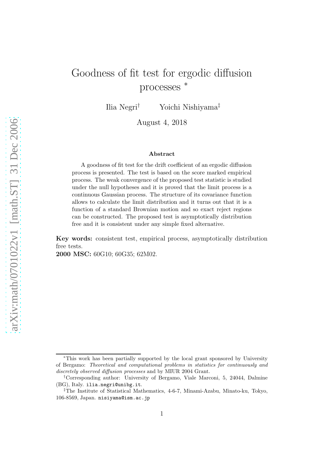# Goodness of fit test for ergodic diffusion processes <sup>∗</sup>

Ilia Negri† Yoichi Nishiyama‡

August 4, 2018

#### Abstract

A goodness of fit test for the drift coefficient of an ergodic diffusion process is presented. The test is based on the score marked empirical process. The weak convergence of the proposed test statistic is studied under the null hypotheses and it is proved that the limit process is a continuous Gaussian process. The structure of its covariance function allows to calculate the limit distribution and it turns out that it is a function of a standard Brownian motion and so exact reject regions can be constructed. The proposed test is asymptotically distribution free and it is consistent under any simple fixed alternative.

Key words: consistent test, empirical process, asymptotically distribution free tests.

2000 MSC: 60G10; 60G35; 62M02.

<sup>∗</sup>This work has been partially supported by the local grant sponsored by University of Bergamo: Theoretical and computational problems in statistics for continuously and discretely observed diffusion processes and by MIUR 2004 Grant.

<sup>†</sup>Corresponding author: University of Bergamo, Viale Marconi, 5, 24044, Dalmine (BG), Italy. ilia.negri@unibg.it.

<sup>‡</sup>The Institute of Statistical Mathematics, 4-6-7, Minami-Azabu, Minato-ku, Tokyo, 106-8569, Japan. nisiyama@ism.ac.jp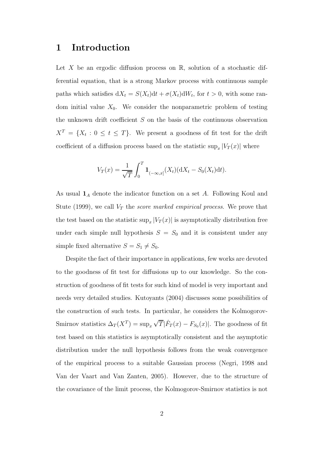### 1 Introduction

Let X be an ergodic diffusion process on  $\mathbb{R}$ , solution of a stochastic differential equation, that is a strong Markov process with continuous sample paths which satisfies  $dX_t = S(X_t)dt + \sigma(X_t)dW_t$ , for  $t > 0$ , with some random initial value  $X_0$ . We consider the nonparametric problem of testing the unknown drift coefficient S on the basis of the continuous observation  $X^T = \{X_t : 0 \le t \le T\}$ . We present a goodness of fit test for the drift coefficient of a diffusion process based on the statistic  $\sup_x |V_T(x)|$  where

$$
V_T(x) = \frac{1}{\sqrt{T}} \int_0^T \mathbf{1}_{(-\infty, x]}(X_t) (dX_t - S_0(X_t) dt).
$$

As usual  $\mathbf{1}_A$  denote the indicator function on a set A. Following Koul and Stute (1999), we call  $V_T$  the *score marked empirical process*. We prove that the test based on the statistic  $\sup_x |V_T(x)|$  is asymptotically distribution free under each simple null hypothesis  $S = S_0$  and it is consistent under any simple fixed alternative  $S = S_1 \neq S_0$ .

Despite the fact of their importance in applications, few works are devoted to the goodness of fit test for diffusions up to our knowledge. So the construction of goodness of fit tests for such kind of model is very important and needs very detailed studies. Kutoyants (2004) discusses some possibilities of the construction of such tests. In particular, he considers the Kolmogorov-Smirnov statistics  $\Delta_T(X^T) = \sup_x \sqrt{T} |\hat{F}_T(x) - F_{S_0}(x)|$ . The goodness of fit test based on this statistics is asymptotically consistent and the asymptotic distribution under the null hypothesis follows from the weak convergence of the empirical process to a suitable Gaussian process (Negri, 1998 and Van der Vaart and Van Zanten, 2005). However, due to the structure of the covariance of the limit process, the Kolmogorov-Smirnov statistics is not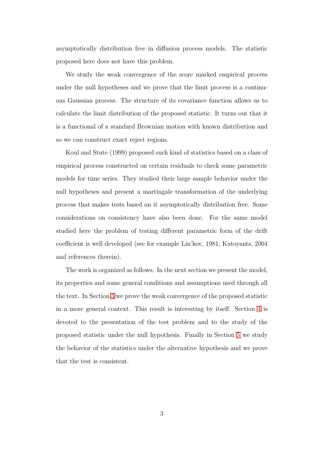asymptotically distribution free in diffusion process models. The statistic proposed here does not have this problem.

We study the weak convergence of the score marked empirical process under the null hypotheses and we prove that the limit process is a continuous Gaussian process. The structure of its covariance function allows us to calculate the limit distribution of the proposed statistic. It turns out that it is a functional of a standard Brownian motion with known distribution and so we can construct exact reject regions.

Koul and Stute (1999) proposed such kind of statistics based on a class of empirical process constructed on certain residuals to check some parametric models for time series. They studied their large sample behavior under the null hypotheses and present a martingale transformation of the underlying process that makes tests based on it asymptotically distribution free. Some considerations on consistency have also been done. For the same model studied here the problem of testing different parametric form of the drift coefficient is well developed (see for example Lin'kov, 1981, Kutoyants, 2004 and references therein).

The work is organized as follows. In the next section we present the model, its properties and some general conditions and assumptions used through all the text. In Section [3](#page-4-0) we prove the weak convergence of the proposed statistic in a more general context. This result is interesting by itself. Section [4](#page-7-0) is devoted to the presentation of the test problem and to the study of the proposed statistic under the null hypothesis. Finally in Section [5](#page-10-0) we study the behavior of the statistics under the alternative hypothesis and we prove that the test is consistent.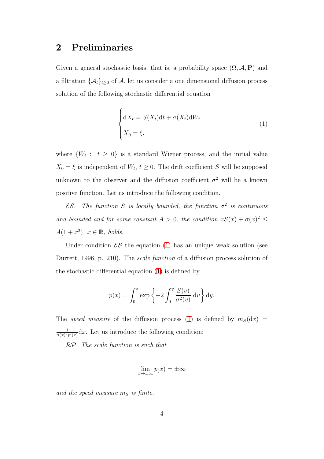# 2 Preliminaries

Given a general stochastic basis, that is, a probability space  $(\Omega, \mathcal{A}, P)$  and a filtration  $\{\mathcal{A}_t\}_{t>0}$  of  $\mathcal{A}_t$ , let us consider a one dimensional diffusion process solution of the following stochastic differential equation

<span id="page-3-0"></span>
$$
\begin{cases} dX_t = S(X_t)dt + \sigma(X_t)dW_t \\ X_0 = \xi, \end{cases}
$$
 (1)

where  $\{W_t : t \geq 0\}$  is a standard Wiener process, and the initial value  $X_0 = \xi$  is independent of  $W_t$ ,  $t \geq 0$ . The drift coefficient S will be supposed unknown to the observer and the diffusion coefficient  $\sigma^2$  will be a known positive function. Let us introduce the following condition.

**ES**. The function S is locally bounded, the function  $\sigma^2$  is continuous and bounded and for some constant  $A > 0$ , the condition  $xS(x) + \sigma(x)^2 \leq$  $A(1+x^2), x \in \mathbb{R}, holds.$ 

Under condition  $\mathcal{ES}$  the equation [\(1\)](#page-3-0) has an unique weak solution (see Durrett, 1996, p. 210). The scale function of a diffusion process solution of the stochastic differential equation [\(1\)](#page-3-0) is defined by

$$
p(x) = \int_0^x \exp\left\{-2\int_0^y \frac{S(v)}{\sigma^2(v)} dv\right\} dy.
$$

The speed measure of the diffusion process [\(1\)](#page-3-0) is defined by  $m<sub>S</sub>(dx)$  = 1  $\frac{1}{\sigma(x)^2 p'(x)} dx$ . Let us introduce the following condition:

RP. The scale function is such that

$$
\lim_{x \to \pm \infty} p(x) = \pm \infty
$$

and the speed measure  $m<sub>S</sub>$  is finite.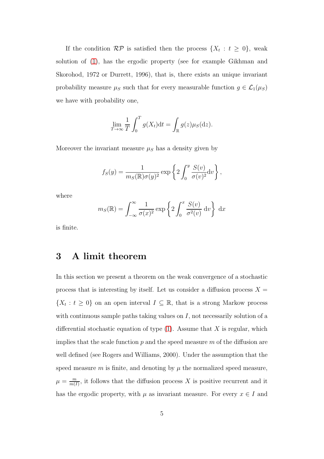If the condition  $\mathcal{RP}$  is satisfied then the process  $\{X_t : t \geq 0\}$ , weak solution of [\(1\)](#page-3-0), has the ergodic property (see for example Gikhman and Skorohod, 1972 or Durrett, 1996), that is, there exists an unique invariant probability measure  $\mu_S$  such that for every measurable function  $g \in \mathcal{L}_1(\mu_S)$ we have with probability one,

$$
\lim_{T \to \infty} \frac{1}{T} \int_0^T g(X_t) dt = \int_{\mathbb{R}} g(z) \mu_S(dz).
$$

Moreover the invariant measure  $\mu_S$  has a density given by

$$
f_S(y) = \frac{1}{m_S(\mathbb{R})\sigma(y)^2} \exp\left\{2\int_0^y \frac{S(v)}{\sigma(v)^2} dv\right\},\,
$$

where

$$
m_S(\mathbb{R}) = \int_{-\infty}^{\infty} \frac{1}{\sigma(x)^2} \exp\left\{2 \int_0^x \frac{S(v)}{\sigma^2(v)} dv\right\} dx
$$

<span id="page-4-0"></span>is finite.

# 3 A limit theorem

In this section we present a theorem on the weak convergence of a stochastic process that is interesting by itself. Let us consider a diffusion process  $X =$  $\{X_t : t \geq 0\}$  on an open interval  $I \subseteq \mathbb{R}$ , that is a strong Markow process with continuous sample paths taking values on  $I$ , not necessarily solution of a differential stochastic equation of type  $(1)$ . Assume that X is regular, which implies that the scale function  $p$  and the speed measure  $m$  of the diffusion are well defined (see Rogers and Williams, 2000). Under the assumption that the speed measure m is finite, and denoting by  $\mu$  the normalized speed measure,  $\mu = \frac{m}{m}$  $\frac{m}{m(I)}$ , it follows that the diffusion process X is positive recurrent and it has the ergodic property, with  $\mu$  as invariant measure. For every  $x \in I$  and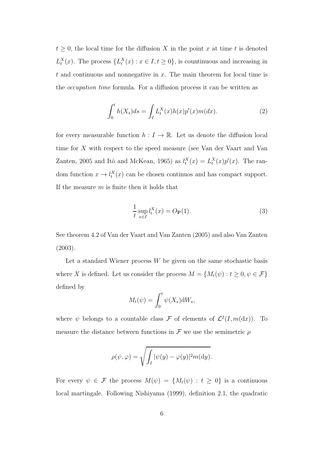$t \geq 0$ , the local time for the diffusion X in the point x at time t is denoted  $L_t^X(x)$ . The process  $\{L_t^X(x) : x \in I, t \geq 0\}$ , is countinuous and increasing in t and continuous and nonnegative in  $x$ . The main theorem for local time is the occupation time formula. For a diffusion process it can be written as

<span id="page-5-0"></span>
$$
\int_{0}^{t} h(X_{s})ds = \int_{I} L_{t}^{X}(x)h(x)p'(x)m(dx).
$$
 (2)

for every measurable function  $h: I \to \mathbb{R}$ . Let us denote the diffusion local time for X with respect to the speed measure (see Van der Vaart and Van Zanten, 2005 and Itô and McKean, 1965) as  $l_t^X(x) = L_t^X(x)p'(x)$ . The random function  $x \to l_t^X(x)$  can be chosen continuos and has compact support. If the measure  $m$  is finite then it holds that

<span id="page-5-1"></span>
$$
\frac{1}{t} \sup_{x \in I} l_t^X(x) = O_{\mathbf{P}}(1).
$$
\n(3)

See theorem 4.2 of Van der Vaart and Van Zanten (2005) and also Van Zanten (2003).

Let a standard Wiener process  $W$  be given on the same stochastic basis where X is defined. Let us consider the process  $M = \{M_t(\psi): t \geq 0, \psi \in \mathcal{F}\}$ defined by

$$
M_t(\psi) = \int_0^t \psi(X_s) \mathrm{d}W_s,
$$

where  $\psi$  belongs to a countable class  $\mathcal F$  of elements of  $\mathcal L^2(I,m(\mathrm{d}x))$ . To measure the distance between functions in  $\mathcal F$  we use the semimetric  $\rho$ 

$$
\rho(\psi,\varphi) = \sqrt{\int_I |\psi(y) - \varphi(y)|^2 m(\mathrm{d}y)}.
$$

For every  $\psi \in \mathcal{F}$  the process  $M(\psi) = \{M_t(\psi) : t \geq 0\}$  is a continuous local martingale. Following Nishiyama (1999), definition 2.1, the quadratic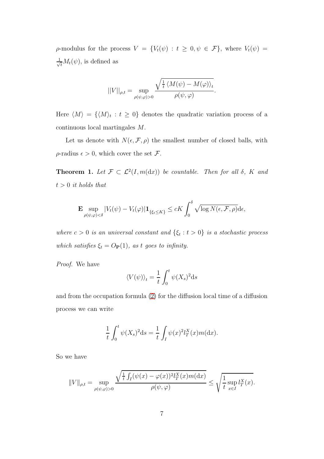$\rho$ -modulus for the process  $V = \{V_t(\psi) : t \geq 0, \psi \in \mathcal{F}\}\$ , where  $V_t(\psi) =$  $\frac{1}{\sqrt{t}}M_t(\psi)$ , is defined as

$$
||V||_{\rho,t} = \sup_{\rho(\psi,\varphi)>0} \frac{\sqrt{\frac{1}{t} \langle M(\psi) - M(\varphi) \rangle_t}}{\rho(\psi,\varphi)}.
$$

Here  $\langle M \rangle = {\langle \langle M \rangle_t : t \geq 0}$  denotes the quadratic variation process of a continuous local martingales M.

Let us denote with  $N(\epsilon, \mathcal{F}, \rho)$  the smallest number of closed balls, with  $\rho$ -radius  $\epsilon > 0$ , which cover the set  $\mathcal{F}$ .

<span id="page-6-0"></span>**Theorem 1.** Let  $\mathcal{F} \subset \mathcal{L}^2(I, m(dx))$  be countable. Then for all  $\delta$ , K and  $t > 0$  it holds that

$$
\mathbf{E} \sup_{\rho(\psi,\varphi)<\delta} |V_t(\psi)-V_t(\varphi)| \mathbf{1}_{\{\xi_t\leq K\}} \leq cK \int_0^{\delta} \sqrt{\log N(\epsilon,\mathcal{F},\rho)} \mathrm{d}\epsilon,
$$

where  $c > 0$  is an universal constant and  $\{\xi_t : t > 0\}$  is a stochastic process which satisfies  $\xi_t = O_P(1)$ , as t goes to infinity.

Proof. We have

$$
\langle V(\psi) \rangle_t = \frac{1}{t} \int_0^t \psi(X_s)^2 ds
$$

and from the occupation formula [\(2\)](#page-5-0) for the diffusion local time of a diffusion process we can write

$$
\frac{1}{t}\int_0^t \psi(X_s)^2 ds = \frac{1}{t}\int_I \psi(x)^2 l_T^X(x) m(dx).
$$

So we have

$$
||V||_{\rho,t} = \sup_{\rho(\psi,\varphi)>0} \frac{\sqrt{\frac{1}{t} \int_I (\psi(x) - \varphi(x))^2 l_T^X(x) m(\mathrm{d}x)}}{\rho(\psi,\varphi)} \le \sqrt{\frac{1}{t} \sup_{x \in I} l_T^X(x)}.
$$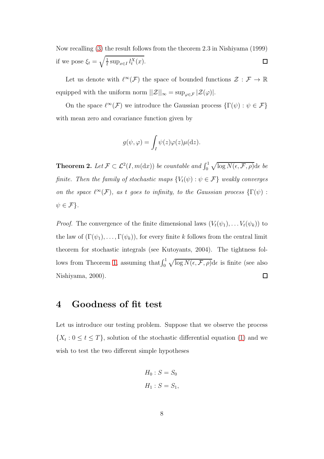Now recalling [\(3\)](#page-5-1) the result follows from the theorem 2.3 in Nishiyama (1999) if we pose  $\xi_t = \sqrt{\frac{1}{t}}$  $\frac{1}{t}$  sup<sub> $x \in I$ </sub>  $l_t^X(x)$ .  $\Box$ 

Let us denote with  $\ell^{\infty}(\mathcal{F})$  the space of bounded functions  $\mathcal{Z}: \mathcal{F} \to \mathbb{R}$ equipped with the uniform norm  $||\mathcal{Z}||_{\infty}=\sup_{\varphi\in\mathcal{F}}|\mathcal{Z}(\varphi)|.$ 

On the space  $\ell^{\infty}(\mathcal{F})$  we introduce the Gaussian process  $\{\Gamma(\psi): \psi \in \mathcal{F}\}\$ with mean zero and covariance function given by

$$
g(\psi, \varphi) = \int_I \psi(z) \varphi(z) \mu(\mathrm{d}z).
$$

<span id="page-7-1"></span>**Theorem 2.** Let  $\mathcal{F} \subset \mathcal{L}^2(I,m(\mathrm{d}x))$  be countable and  $\int_0^1 \sqrt{\log N(\epsilon,\mathcal{F},\rho)}\mathrm{d}\epsilon$  be finite. Then the family of stochastic maps  $\{V_t(\psi) : \psi \in \mathcal{F}\}\$  weakly converges on the space  $\ell^{\infty}(\mathcal{F})$ , as t goes to infinity, to the Gaussian process  $\{\Gamma(\psi):$  $\psi \in \mathcal{F}$ .

*Proof.* The convergence of the finite dimensional laws  $(V_t(\psi_1), \ldots V_t(\psi_k))$  to the law of  $(\Gamma(\psi_1), \ldots, \Gamma(\psi_k))$ , for every finite k follows from the central limit theorem for stochastic integrals (see Kutoyants, 2004). The tightness fol-lows from Theorem [1,](#page-6-0) assuming that  $\int_0^1 \sqrt{\log N(\epsilon, \mathcal{F}, \rho)} d\epsilon$  is finite (see also Nishiyama, 2000).  $\Box$ 

### <span id="page-7-0"></span>4 Goodness of fit test

Let us introduce our testing problem. Suppose that we observe the process  $\{X_t: 0 \le t \le T\}$ , solution of the stochastic differential equation [\(1\)](#page-3-0) and we wish to test the two different simple hypotheses

$$
H_0: S = S_0
$$
  

$$
H_1: S = S_1,
$$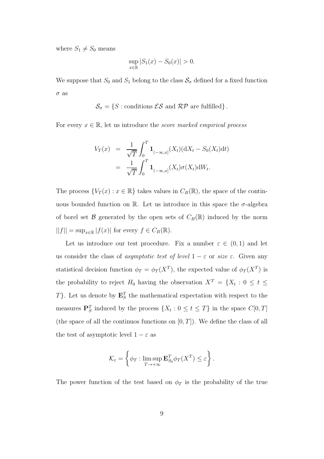where  $S_1 \neq S_0$  means

$$
\sup_{x \in \mathbb{R}} |S_1(x) - S_0(x)| > 0.
$$

We suppose that  $S_0$  and  $S_1$  belong to the class  $S_\sigma$  defined for a fixed function  $\sigma$  as

$$
\mathcal{S}_{\sigma} = \{ S : \text{conditions } \mathcal{ES} \text{ and } \mathcal{RP} \text{ are fulfilled} \}.
$$

For every  $x \in \mathbb{R}$ , let us introduce the *score marked empirical process* 

$$
V_T(x) = \frac{1}{\sqrt{T}} \int_0^T \mathbf{1}_{(-\infty, x]}(X_t) (dX_t - S_0(X_t) dt)
$$
  
= 
$$
\frac{1}{\sqrt{T}} \int_0^T \mathbf{1}_{(-\infty, x]}(X_t) \sigma(X_t) dW_t.
$$

The process  $\{V_T(x) : x \in \mathbb{R}\}\$  takes values in  $C_B(\mathbb{R})$ , the space of the continuous bounded function on R. Let us introduce in this space the  $\sigma$ -algebra of borel set  $\mathcal B$  generated by the open sets of  $C_B(\mathbb{R})$  induced by the norm  $||f|| = \sup_{x \in \mathbb{R}} |f(x)|$  for every  $f \in C_B(\mathbb{R})$ .

Let us introduce our test procedure. Fix a number  $\varepsilon \in (0,1)$  and let us consider the class of *asymptotic test of level*  $1 - \varepsilon$  or *size*  $\varepsilon$ . Given any statistical decision function  $\phi_T = \phi_T(X^T)$ , the expected value of  $\phi_T(X^T)$  is the probability to reject  $H_0$  having the observation  $X^T = \{X_t : 0 \le t \le$ T}. Let us denote by  $\mathbf{E}_S^T$  the mathematical expectation with respect to the measures  $\mathbf{P}_S^T$  induced by the process  $\{X_t : 0 \le t \le T\}$  in the space  $C[0, T]$ (the space of all the continuos functions on  $[0, T]$ ). We define the class of all the test of asymptotic level  $1 - \varepsilon$  as

$$
\mathcal{K}_{\varepsilon} = \left\{ \phi_T : \limsup_{T \to +\infty} \mathbf{E}_{S_0}^T \phi_T(X^T) \leq \varepsilon \right\}.
$$

The power function of the test based on  $\phi_T$  is the probability of the true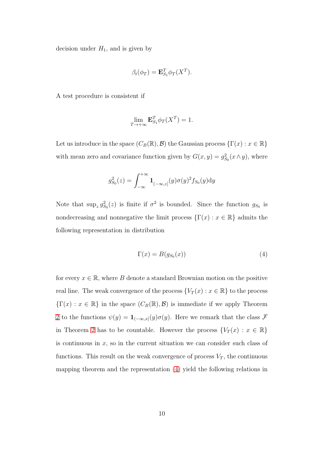decision under  $H_1$ , and is given by

$$
\beta_t(\phi_T) = \mathbf{E}_{S_1}^T \phi_T(X^T).
$$

A test procedure is consistent if

$$
\lim_{T \to +\infty} \mathbf{E}_{S_1}^T \phi_T(X^T) = 1.
$$

Let us introduce in the space  $(C_B(\mathbb{R}), \mathcal{B})$  the Gaussian process  $\{\Gamma(x) : x \in \mathbb{R}\}\$ with mean zero and covariance function given by  $G(x, y) = g_{S_0}^2(x \wedge y)$ , where

$$
g_{S_0}^2(z) = \int_{-\infty}^{+\infty} \mathbf{1}_{(-\infty, z]}(y) \sigma(y)^2 f_{S_0}(y) dy
$$

Note that  $\sup_z g_{S_0}^2(z)$  is finite if  $\sigma^2$  is bounded. Since the function  $g_{S_0}$  is nondecreasing and nonnegative the limit process  $\{\Gamma(x): x \in \mathbb{R}\}\$  admits the following representation in distribution

<span id="page-9-0"></span>
$$
\Gamma(x) = B(g_{S_0}(x))\tag{4}
$$

for every  $x \in \mathbb{R}$ , where B denote a standard Brownian motion on the positive real line. The weak convergence of the process  $\{V_T(x) : x \in \mathbb{R}\}\)$  to the process  ${\{\Gamma(x): x \in \mathbb{R}\}\}$  in the space  $(C_B(\mathbb{R}), \mathcal{B})$  is immediate if we apply Theorem [2](#page-7-1) to the functions  $\psi(y) = \mathbf{1}_{(-\infty,x]}(y)\sigma(y)$ . Here we remark that the class  $\mathcal F$ in Theorem [2](#page-7-1) has to be countable. However the process  $\{V_T(x) : x \in \mathbb{R}\}\$ is continuous in  $x$ , so in the current situation we can consider such class of functions. This result on the weak convergence of process  $V_T$ , the continuous mapping theorem and the representation [\(4\)](#page-9-0) yield the following relations in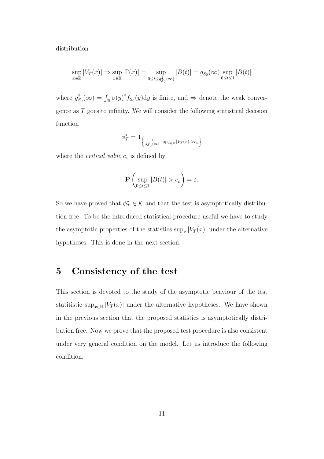distribution

$$
\sup_{x \in \mathbb{R}} |V_T(x)| \Rightarrow \sup_{x \in \mathbb{R}} |\Gamma(x)| = \sup_{0 \le t \le g_{S_0}^2(\infty)} |B(t)| = g_{S_0}(\infty) \sup_{0 \le t \le 1} |B(t)|
$$

where  $g_{S_0}^2(\infty) = \int_{\mathbb{R}} \sigma(y)^2 f_{S_0}(y) dy$  is finite, and  $\Rightarrow$  denote the weak convergence as T goes to infinity. We will consider the following statistical decision function

$$
\phi_T^* = \mathbf{1}_{\left\{\frac{1}{g_{S_0}(\infty)} \sup_{x \in \mathbb{R}} |V_T(x)| > c_{\varepsilon}\right\}}
$$

where the *critical value*  $c_{\varepsilon}$  is defined by

$$
\mathbf{P}\left(\sup_{0\leq t\leq 1}|B(t)|>c_{\varepsilon}\right)=\varepsilon.
$$

So we have proved that  $\phi_T^* \in \mathcal{K}$  and that the test is asymptotically distribution free. To be the introduced statistical procedure useful we have to study the asymptotic properties of the statistics  $\sup_x |V_T(x)|$  under the alternative hypotheses. This is done in the next section.

#### <span id="page-10-0"></span>5 Consistency of the test

This section is devoted to the study of the asymptotic beaviour of the test statitistic sup<sub>x∈R</sub> | $V_T(x)$ | under the alternative hypotheses. We have shown in the previous section that the proposed statistics is asymptotically distribution free. Now we prove that the proposed test procedure is also consistent under very general condition on the model. Let us introduce the following condition.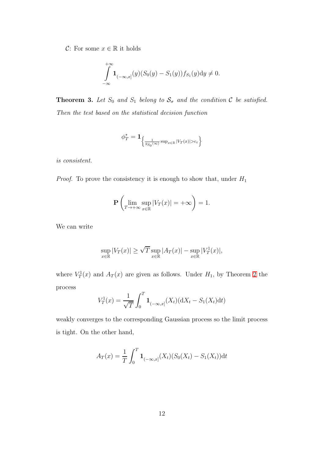C: For some  $x \in \mathbb{R}$  it holds

$$
\int_{-\infty}^{+\infty} \mathbf{1}_{(-\infty,x]}(y)(S_0(y) - S_1(y))f_{S_1}(y)dy \neq 0.
$$

**Theorem 3.** Let  $S_0$  and  $S_1$  belong to  $S_\sigma$  and the condition  $C$  be satisfied. Then the test based on the statistical decision function

$$
\phi_T^* = \mathbf{1}_{\left\{\frac{1}{g_{S_0}(\infty)} \sup_{x \in \mathbb{R}} |V_T(x)| > c_{\varepsilon}\right\}}
$$

is consistent.

*Proof.* To prove the consistency it is enough to show that, under  $H_1$ 

$$
\mathbf{P}\left(\lim_{T\to+\infty}\sup_{x\in\mathbb{R}}|V_T(x)|=+\infty\right)=1.
$$

We can write

$$
\sup_{x \in \mathbb{R}} |V_T(x)| \ge \sqrt{T} \sup_{x \in \mathbb{R}} |A_T(x)| - \sup_{x \in \mathbb{R}} |V_T^1(x)|,
$$

where  $V_T^1(x)$  and  $A_T(x)$  are given as follows. Under  $H_1$ , by Theorem [2](#page-7-1) the process

$$
V_T^1(x) = \frac{1}{\sqrt{T}} \int_0^T \mathbf{1}_{(-\infty, x]}(X_t) (\mathrm{d}X_t - S_1(X_t) \mathrm{d}t)
$$

weakly converges to the corresponding Gaussian process so the limit process is tight. On the other hand,

$$
A_T(x) = \frac{1}{T} \int_0^T \mathbf{1}_{(-\infty, x]}(X_t)(S_0(X_t) - S_1(X_t)) \mathrm{d}t
$$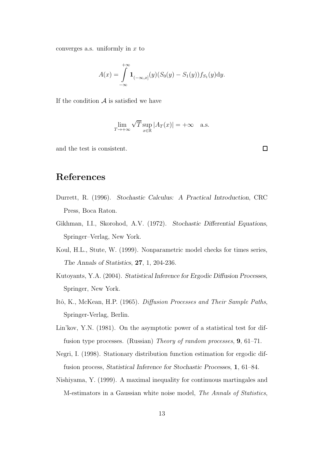converges a.s. uniformly in  $x$  to

$$
A(x) = \int_{-\infty}^{+\infty} \mathbf{1}_{(-\infty,x]}(y)(S_0(y) - S_1(y))f_{S_1}(y)dy.
$$

If the condition  $A$  is satisfied we have

$$
\lim_{T \to +\infty} \sqrt{T} \sup_{x \in \mathbb{R}} |A_T(x)| = +\infty \quad \text{a.s.}
$$

and the test is consistent.

 $\Box$ 

# References

- Durrett, R. (1996). Stochastic Calculus: A Practical Introduction, CRC Press, Boca Raton.
- Gikhman, I.I., Skorohod, A.V. (1972). Stochastic Differential Equations, Springer–Verlag, New York.
- Koul, H.L., Stute, W. (1999). Nonparametric model checks for times series, The Annals of Statistics, 27, 1, 204-236.
- Kutoyants, Y.A. (2004). Statistical Inference for Ergodic Diffusion Processes, Springer, New York.
- Itô, K., McKean, H.P. (1965). Diffusion Processes and Their Sample Paths, Springer-Verlag, Berlin.
- Lin'kov, Y.N. (1981). On the asymptotic power of a statistical test for diffusion type processes. (Russian) Theory of random processes, 9, 61–71.
- Negri, I. (1998). Stationary distribution function estimation for ergodic diffusion process, Statistical Inference for Stochastic Processes, 1, 61–84.
- Nishiyama, Y. (1999). A maximal inequality for continuous martingales and M-estimators in a Gaussian white noise model, The Annals of Statistics,